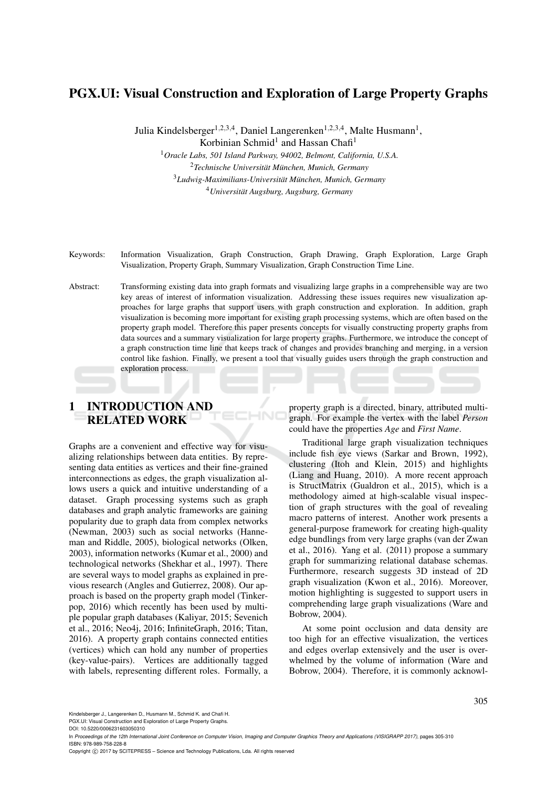# PGX.UI: Visual Construction and Exploration of Large Property Graphs

Julia Kindelsberger<sup>1,2,3,4</sup>, Daniel Langerenken<sup>1,2,3,4</sup>, Malte Husmann<sup>1</sup>, Korbinian Schmid<sup>1</sup> and Hassan Chafi<sup>1</sup>

*Oracle Labs, 501 Island Parkway, 94002, Belmont, California, U.S.A. Technische Universitat M¨ unchen, Munich, Germany ¨ Ludwig-Maximilians-Universitat M¨ unchen, Munich, Germany ¨ Universitat Augsburg, Augsburg, Germany ¨*

Keywords: Information Visualization, Graph Construction, Graph Drawing, Graph Exploration, Large Graph Visualization, Property Graph, Summary Visualization, Graph Construction Time Line.

Abstract: Transforming existing data into graph formats and visualizing large graphs in a comprehensible way are two key areas of interest of information visualization. Addressing these issues requires new visualization approaches for large graphs that support users with graph construction and exploration. In addition, graph visualization is becoming more important for existing graph processing systems, which are often based on the property graph model. Therefore this paper presents concepts for visually constructing property graphs from data sources and a summary visualization for large property graphs. Furthermore, we introduce the concept of a graph construction time line that keeps track of changes and provides branching and merging, in a version control like fashion. Finally, we present a tool that visually guides users through the graph construction and exploration process.

# 1 INTRODUCTION AND RELATED WORK

Graphs are a convenient and effective way for visualizing relationships between data entities. By representing data entities as vertices and their fine-grained interconnections as edges, the graph visualization allows users a quick and intuitive understanding of a dataset. Graph processing systems such as graph databases and graph analytic frameworks are gaining popularity due to graph data from complex networks (Newman, 2003) such as social networks (Hanneman and Riddle, 2005), biological networks (Olken, 2003), information networks (Kumar et al., 2000) and technological networks (Shekhar et al., 1997). There are several ways to model graphs as explained in previous research (Angles and Gutierrez, 2008). Our approach is based on the property graph model (Tinkerpop, 2016) which recently has been used by multiple popular graph databases (Kaliyar, 2015; Sevenich et al., 2016; Neo4j, 2016; InfiniteGraph, 2016; Titan, 2016). A property graph contains connected entities (vertices) which can hold any number of properties (key-value-pairs). Vertices are additionally tagged with labels, representing different roles. Formally, a

property graph is a directed, binary, attributed multigraph. For example the vertex with the label *Person* could have the properties *Age* and *First Name*.

Traditional large graph visualization techniques include fish eye views (Sarkar and Brown, 1992), clustering (Itoh and Klein, 2015) and highlights (Liang and Huang, 2010). A more recent approach is StructMatrix (Gualdron et al., 2015), which is a methodology aimed at high-scalable visual inspection of graph structures with the goal of revealing macro patterns of interest. Another work presents a general-purpose framework for creating high-quality edge bundlings from very large graphs (van der Zwan et al., 2016). Yang et al. (2011) propose a summary graph for summarizing relational database schemas. Furthermore, research suggests 3D instead of 2D graph visualization (Kwon et al., 2016). Moreover, motion highlighting is suggested to support users in comprehending large graph visualizations (Ware and Bobrow, 2004).

At some point occlusion and data density are too high for an effective visualization, the vertices and edges overlap extensively and the user is overwhelmed by the volume of information (Ware and Bobrow, 2004). Therefore, it is commonly acknowl-

Kindelsberger J., Langerenken D., Husmann M., Schmid K. and Chafi H.

PGX.UI: Visual Construction and Exploration of Large Property Graphs.

In *Proceedings of the 12th International Joint Conference on Computer Vision, Imaging and Computer Graphics Theory and Applications (VISIGRAPP 2017)*, pages 305-310 ISBN: 978-989-758-228-8

Copyright © 2017 by SCITEPRESS - Science and Technology Publications, Lda. All rights reserved

DOI: 10.5220/0006231603050310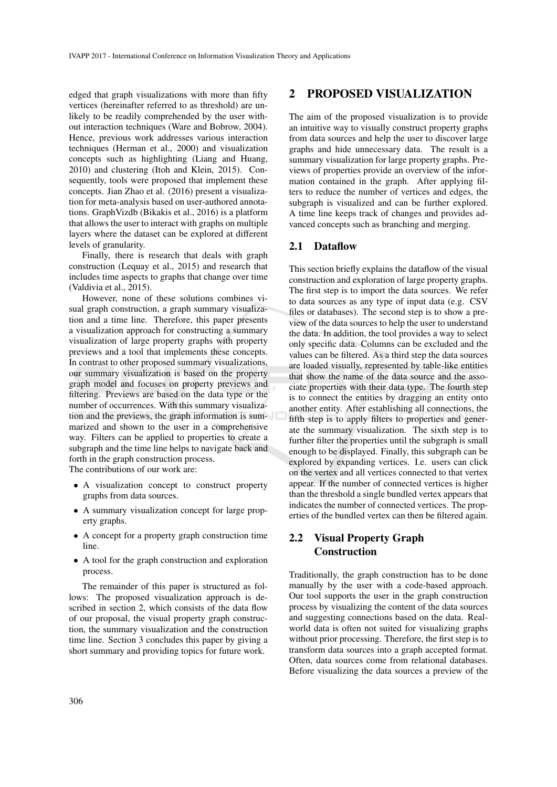edged that graph visualizations with more than fifty vertices (hereinafter referred to as threshold) are unlikely to be readily comprehended by the user without interaction techniques (Ware and Bobrow, 2004). Hence, previous work addresses various interaction techniques (Herman et al., 2000) and visualization concepts such as highlighting (Liang and Huang, 2010) and clustering (Itoh and Klein, 2015). Consequently, tools were proposed that implement these concepts. Jian Zhao et al. (2016) present a visualization for meta-analysis based on user-authored annotations. GraphVizdb (Bikakis et al., 2016) is a platform that allows the user to interact with graphs on multiple layers where the dataset can be explored at different levels of granularity.

Finally, there is research that deals with graph construction (Lequay et al., 2015) and research that includes time aspects to graphs that change over time (Valdivia et al., 2015).

However, none of these solutions combines visual graph construction, a graph summary visualization and a time line. Therefore, this paper presents a visualization approach for constructing a summary visualization of large property graphs with property previews and a tool that implements these concepts. In contrast to other proposed summary visualizations, our summary visualization is based on the property graph model and focuses on property previews and filtering. Previews are based on the data type or the number of occurrences. With this summary visualization and the previews, the graph information is summarized and shown to the user in a comprehensive way. Filters can be applied to properties to create a subgraph and the time line helps to navigate back and forth in the graph construction process.

The contributions of our work are:

- A visualization concept to construct property graphs from data sources.
- A summary visualization concept for large property graphs.
- A concept for a property graph construction time line.
- A tool for the graph construction and exploration process.

The remainder of this paper is structured as follows: The proposed visualization approach is described in section 2, which consists of the data flow of our proposal, the visual property graph construction, the summary visualization and the construction time line. Section 3 concludes this paper by giving a short summary and providing topics for future work.

### 2 PROPOSED VISUALIZATION

The aim of the proposed visualization is to provide an intuitive way to visually construct property graphs from data sources and help the user to discover large graphs and hide unnecessary data. The result is a summary visualization for large property graphs. Previews of properties provide an overview of the information contained in the graph. After applying filters to reduce the number of vertices and edges, the subgraph is visualized and can be further explored. A time line keeps track of changes and provides advanced concepts such as branching and merging.

### 2.1 Dataflow

This section briefly explains the dataflow of the visual construction and exploration of large property graphs. The first step is to import the data sources. We refer to data sources as any type of input data (e.g. CSV files or databases). The second step is to show a preview of the data sources to help the user to understand the data. In addition, the tool provides a way to select only specific data. Columns can be excluded and the values can be filtered. As a third step the data sources are loaded visually, represented by table-like entities that show the name of the data source and the associate properties with their data type. The fourth step is to connect the entities by dragging an entity onto another entity. After establishing all connections, the fifth step is to apply filters to properties and generate the summary visualization. The sixth step is to further filter the properties until the subgraph is small enough to be displayed. Finally, this subgraph can be explored by expanding vertices. I.e. users can click on the vertex and all vertices connected to that vertex appear. If the number of connected vertices is higher than the threshold a single bundled vertex appears that indicates the number of connected vertices. The properties of the bundled vertex can then be filtered again.

### 2.2 Visual Property Graph Construction

Traditionally, the graph construction has to be done manually by the user with a code-based approach. Our tool supports the user in the graph construction process by visualizing the content of the data sources and suggesting connections based on the data. Realworld data is often not suited for visualizing graphs without prior processing. Therefore, the first step is to transform data sources into a graph accepted format. Often, data sources come from relational databases. Before visualizing the data sources a preview of the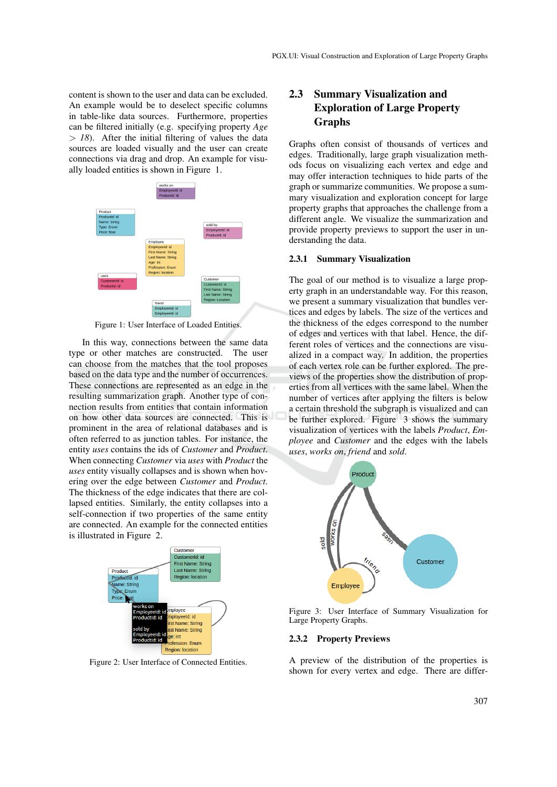content is shown to the user and data can be excluded. An example would be to deselect specific columns in table-like data sources. Furthermore, properties can be filtered initially (e.g. specifying property *Age*  $> 18$ ). After the initial filtering of values the data sources are loaded visually and the user can create connections via drag and drop. An example for visually loaded entities is shown in Figure 1.



Figure 1: User Interface of Loaded Entities.

In this way, connections between the same data type or other matches are constructed. The user can choose from the matches that the tool proposes based on the data type and the number of occurrences. These connections are represented as an edge in the resulting summarization graph. Another type of connection results from entities that contain information on how other data sources are connected. This is prominent in the area of relational databases and is often referred to as junction tables. For instance, the entity *uses* contains the ids of *Customer* and *Product*. When connecting *Customer* via *uses* with *Product* the *uses* entity visually collapses and is shown when hovering over the edge between *Customer* and *Product*. The thickness of the edge indicates that there are collapsed entities. Similarly, the entity collapses into a self-connection if two properties of the same entity are connected. An example for the connected entities is illustrated in Figure 2.



Figure 2: User Interface of Connected Entities.

## 2.3 Summary Visualization and Exploration of Large Property **Graphs**

Graphs often consist of thousands of vertices and edges. Traditionally, large graph visualization methods focus on visualizing each vertex and edge and may offer interaction techniques to hide parts of the graph or summarize communities. We propose a summary visualization and exploration concept for large property graphs that approaches the challenge from a different angle. We visualize the summarization and provide property previews to support the user in understanding the data.

#### 2.3.1 Summary Visualization

The goal of our method is to visualize a large property graph in an understandable way. For this reason, we present a summary visualization that bundles vertices and edges by labels. The size of the vertices and the thickness of the edges correspond to the number of edges and vertices with that label. Hence, the different roles of vertices and the connections are visualized in a compact way. In addition, the properties of each vertex role can be further explored. The previews of the properties show the distribution of properties from all vertices with the same label. When the number of vertices after applying the filters is below a certain threshold the subgraph is visualized and can be further explored. Figure 3 shows the summary visualization of vertices with the labels *Product*, *Employee* and *Customer* and the edges with the labels *uses*, *works on*, *friend* and *sold*.



Figure 3: User Interface of Summary Visualization for Large Property Graphs.

#### 2.3.2 Property Previews

A preview of the distribution of the properties is shown for every vertex and edge. There are differ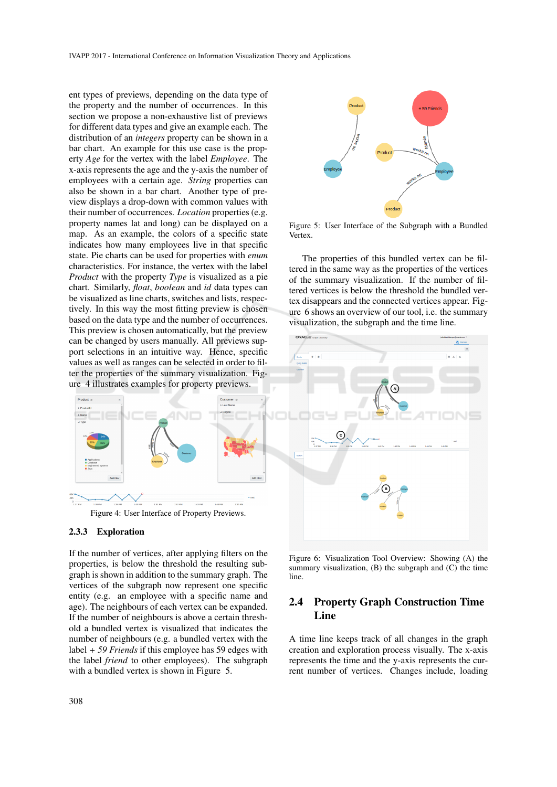ent types of previews, depending on the data type of the property and the number of occurrences. In this section we propose a non-exhaustive list of previews for different data types and give an example each. The distribution of an *integers* property can be shown in a bar chart. An example for this use case is the property *Age* for the vertex with the label *Employee*. The x-axis represents the age and the y-axis the number of employees with a certain age. *String* properties can also be shown in a bar chart. Another type of preview displays a drop-down with common values with their number of occurrences. *Location* properties (e.g. property names lat and long) can be displayed on a map. As an example, the colors of a specific state indicates how many employees live in that specific state. Pie charts can be used for properties with *enum* characteristics. For instance, the vertex with the label *Product* with the property *Type* is visualized as a pie chart. Similarly, *float*, *boolean* and *id* data types can be visualized as line charts, switches and lists, respectively. In this way the most fitting preview is chosen based on the data type and the number of occurrences. This preview is chosen automatically, but the preview can be changed by users manually. All previews support selections in an intuitive way. Hence, specific values as well as ranges can be selected in order to filter the properties of the summary visualization. Figure 4 illustrates examples for property previews.



#### 2.3.3 Exploration

If the number of vertices, after applying filters on the properties, is below the threshold the resulting subgraph is shown in addition to the summary graph. The vertices of the subgraph now represent one specific entity (e.g. an employee with a specific name and age). The neighbours of each vertex can be expanded. If the number of neighbours is above a certain threshold a bundled vertex is visualized that indicates the number of neighbours (e.g. a bundled vertex with the label *+ 59 Friends* if this employee has 59 edges with the label *friend* to other employees). The subgraph with a bundled vertex is shown in Figure 5.



Figure 5: User Interface of the Subgraph with a Bundled Vertex.

The properties of this bundled vertex can be filtered in the same way as the properties of the vertices of the summary visualization. If the number of filtered vertices is below the threshold the bundled vertex disappears and the connected vertices appear. Figure 6 shows an overview of our tool, i.e. the summary visualization, the subgraph and the time line.



Figure 6: Visualization Tool Overview: Showing (A) the summary visualization,  $(B)$  the subgraph and  $(C)$  the time line.

## 2.4 Property Graph Construction Time Line

A time line keeps track of all changes in the graph creation and exploration process visually. The x-axis represents the time and the y-axis represents the current number of vertices. Changes include, loading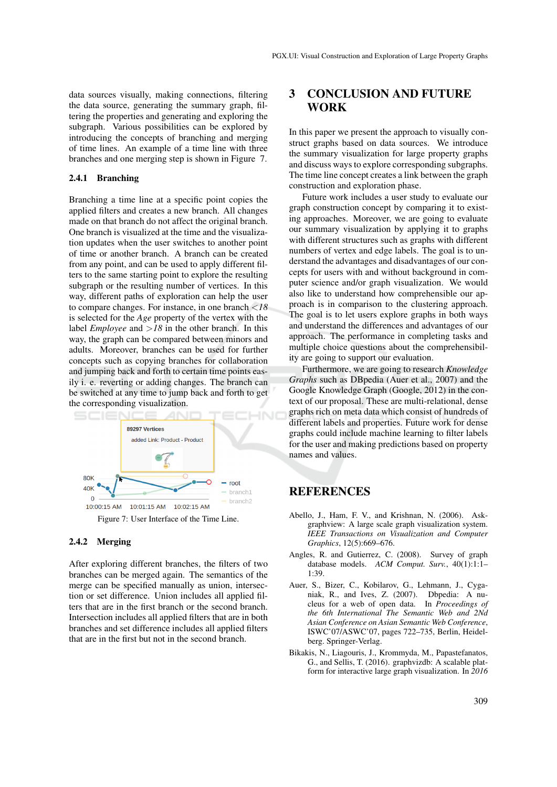data sources visually, making connections, filtering the data source, generating the summary graph, filtering the properties and generating and exploring the subgraph. Various possibilities can be explored by introducing the concepts of branching and merging of time lines. An example of a time line with three branches and one merging step is shown in Figure 7.

### 2.4.1 Branching

Branching a time line at a specific point copies the applied filters and creates a new branch. All changes made on that branch do not affect the original branch. One branch is visualized at the time and the visualization updates when the user switches to another point of time or another branch. A branch can be created from any point, and can be used to apply different filters to the same starting point to explore the resulting subgraph or the resulting number of vertices. In this way, different paths of exploration can help the user to compare changes. For instance, in one branch <*18* is selected for the *Age* property of the vertex with the label *Employee* and >*18* in the other branch. In this way, the graph can be compared between minors and adults. Moreover, branches can be used for further concepts such as copying branches for collaboration and jumping back and forth to certain time points easily i. e. reverting or adding changes. The branch can be switched at any time to jump back and forth to get the corresponding visualization.



Figure 7: User Interface of the Time Line.

### 2.4.2 Merging

After exploring different branches, the filters of two branches can be merged again. The semantics of the merge can be specified manually as union, intersection or set difference. Union includes all applied filters that are in the first branch or the second branch. Intersection includes all applied filters that are in both branches and set difference includes all applied filters that are in the first but not in the second branch.

## 3 CONCLUSION AND FUTURE **WORK**

In this paper we present the approach to visually construct graphs based on data sources. We introduce the summary visualization for large property graphs and discuss ways to explore corresponding subgraphs. The time line concept creates a link between the graph construction and exploration phase.

Future work includes a user study to evaluate our graph construction concept by comparing it to existing approaches. Moreover, we are going to evaluate our summary visualization by applying it to graphs with different structures such as graphs with different numbers of vertex and edge labels. The goal is to understand the advantages and disadvantages of our concepts for users with and without background in computer science and/or graph visualization. We would also like to understand how comprehensible our approach is in comparison to the clustering approach. The goal is to let users explore graphs in both ways and understand the differences and advantages of our approach. The performance in completing tasks and multiple choice questions about the comprehensibility are going to support our evaluation.

Furthermore, we are going to research *Knowledge Graphs* such as DBpedia (Auer et al., 2007) and the Google Knowledge Graph (Google, 2012) in the context of our proposal. These are multi-relational, dense graphs rich on meta data which consist of hundreds of different labels and properties. Future work for dense graphs could include machine learning to filter labels for the user and making predictions based on property names and values.

## **REFERENCES**

- Abello, J., Ham, F. V., and Krishnan, N. (2006). Askgraphview: A large scale graph visualization system. *IEEE Transactions on Visualization and Computer Graphics*, 12(5):669–676.
- Angles, R. and Gutierrez, C. (2008). Survey of graph database models. *ACM Comput. Surv.*, 40(1):1:1– 1:39.
- Auer, S., Bizer, C., Kobilarov, G., Lehmann, J., Cyganiak, R., and Ives, Z. (2007). Dbpedia: A nucleus for a web of open data. In *Proceedings of the 6th International The Semantic Web and 2Nd Asian Conference on Asian Semantic Web Conference*, ISWC'07/ASWC'07, pages 722–735, Berlin, Heidelberg. Springer-Verlag.
- Bikakis, N., Liagouris, J., Krommyda, M., Papastefanatos, G., and Sellis, T. (2016). graphvizdb: A scalable platform for interactive large graph visualization. In *2016*